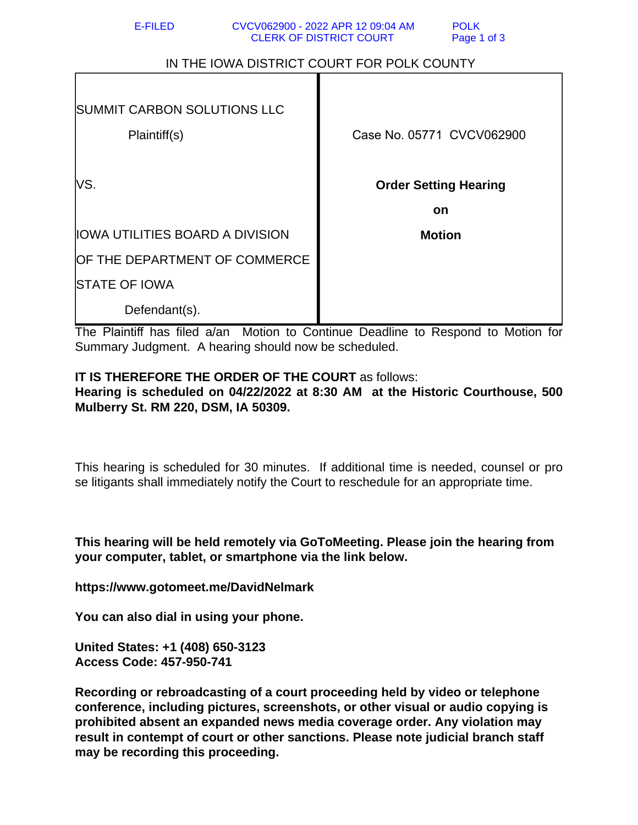| IN THE IOWA DISTRICT COURT FOR POLK COUNTY         |                                    |
|----------------------------------------------------|------------------------------------|
| <b>SUMMIT CARBON SOLUTIONS LLC</b><br>Plaintiff(s) | Case No. 05771 CVCV062900          |
| lVS.                                               | <b>Order Setting Hearing</b><br>on |
| IOWA UTILITIES BOARD A DIVISION                    | <b>Motion</b>                      |
| OF THE DEPARTMENT OF COMMERCE                      |                                    |
| <b>STATE OF IOWA</b>                               |                                    |
| Defendant(s).                                      |                                    |
|                                                    |                                    |

 $\cdots$   $\cdots$   $\cdots$   $\cdots$   $\cdots$   $\cdots$   $\cdots$   $\cdots$   $\cdots$   $\cdots$   $\cdots$   $\cdots$   $\cdots$   $\cdots$   $\cdots$   $\cdots$   $\cdots$   $\cdots$   $\cdots$   $\cdots$   $\cdots$   $\cdots$   $\cdots$   $\cdots$   $\cdots$   $\cdots$   $\cdots$   $\cdots$   $\cdots$   $\cdots$   $\cdots$   $\cdots$   $\cdots$   $\cdots$   $\cdots$   $\cdots$   $\cdots$ 

E-FILED CVCV062900 - 2022 APR 12 09:04 AM POLK<br>CLERK OF DISTRICT COURT Page 1 of 3 CLERK OF DISTRICT COURT

The Plaintiff has filed a/an Motion to Continue Deadline to Respond to Motion for Summary Judgment. A hearing should now be scheduled.

## **IT IS THEREFORE THE ORDER OF THE COURT** as follows: **Hearing is scheduled on 04/22/2022 at 8:30 AM at the Historic Courthouse, 500 Mulberry St. RM 220, DSM, IA 50309.**

This hearing is scheduled for 30 minutes. If additional time is needed, counsel or pro se litigants shall immediately notify the Court to reschedule for an appropriate time.

**This hearing will be held remotely via GoToMeeting. Please join the hearing from your computer, tablet, or smartphone via the link below.**

**https://www.gotomeet.me/DavidNelmark**

**You can also dial in using your phone.**

**United States: +1 (408) 650-3123 Access Code: 457-950-741**

**Recording or rebroadcasting of a court proceeding held by video or telephone conference, including pictures, screenshots, or other visual or audio copying is prohibited absent an expanded news media coverage order. Any violation may result in contempt of court or other sanctions. Please note judicial branch staff may be recording this proceeding.**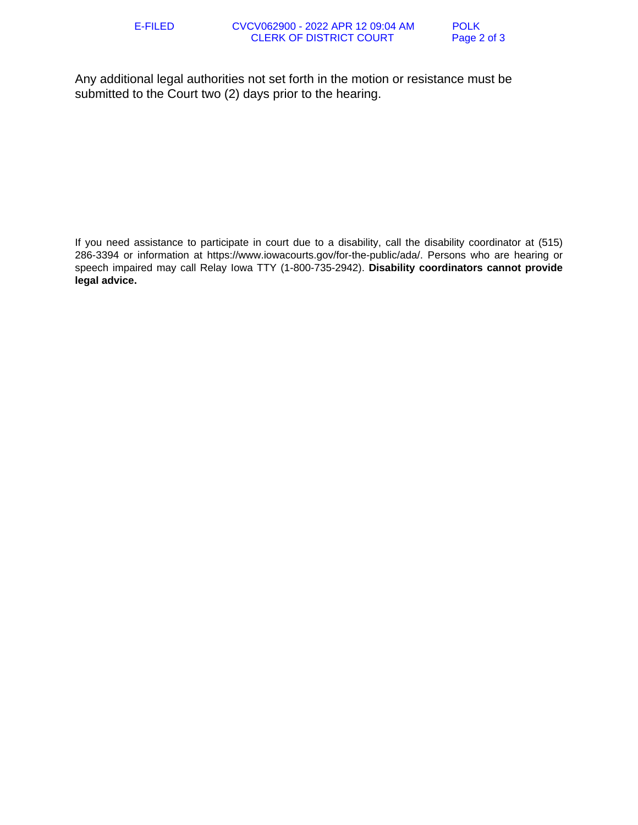Any additional legal authorities not set forth in the motion or resistance must be submitted to the Court two (2) days prior to the hearing.

If you need assistance to participate in court due to a disability, call the disability coordinator at (515) 286-3394 or information at https://www.iowacourts.gov/for-the-public/ada/. Persons who are hearing or speech impaired may call Relay Iowa TTY (1-800-735-2942). **Disability coordinators cannot provide legal advice.**